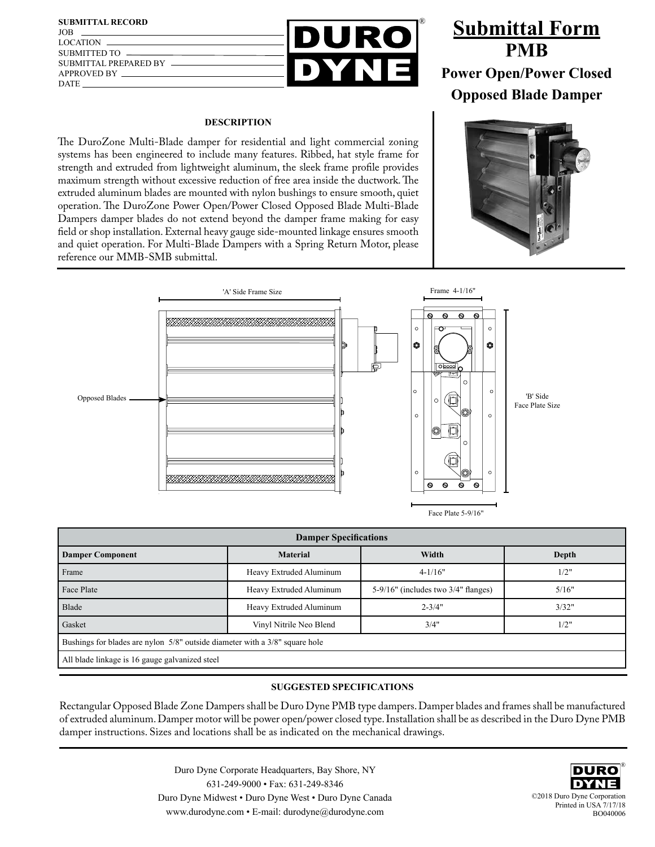

## **DESCRIPTION**

JOB

DATE

The DuroZone Multi-Blade damper for residential and light commercial zoning systems has been engineered to include many features. Ribbed, hat style frame for strength and extruded from lightweight aluminum, the sleek frame profile provides maximum strength without excessive reduction of free area inside the ductwork. The extruded aluminum blades are mounted with nylon bushings to ensure smooth, quiet operation. The DuroZone Power Open/Power Closed Opposed Blade Multi-Blade Dampers damper blades do not extend beyond the damper frame making for easy field or shop installation. External heavy gauge side-mounted linkage ensures smooth and quiet operation. For Multi-Blade Dampers with a Spring Return Motor, please reference our MMB-SMB submittal.

## **Submittal Form PMB Power Open/Power Closed Opposed Blade Damper**





| <b>Damper Specifications</b>                                                |                         |                                           |       |  |  |  |  |  |  |  |
|-----------------------------------------------------------------------------|-------------------------|-------------------------------------------|-------|--|--|--|--|--|--|--|
| <b>Damper Component</b>                                                     | <b>Material</b>         | Width                                     | Depth |  |  |  |  |  |  |  |
| Frame                                                                       | Heavy Extruded Aluminum | $4 - 1/16"$                               | 1/2"  |  |  |  |  |  |  |  |
| Face Plate                                                                  | Heavy Extruded Aluminum | $5-9/16$ " (includes two $3/4$ " flanges) | 5/16" |  |  |  |  |  |  |  |
| Blade                                                                       | Heavy Extruded Aluminum | $2 - 3/4"$                                | 3/32" |  |  |  |  |  |  |  |
| Gasket                                                                      | Vinyl Nitrile Neo Blend | 3/4"                                      | 1/2"  |  |  |  |  |  |  |  |
| Bushings for blades are nylon 5/8" outside diameter with a 3/8" square hole |                         |                                           |       |  |  |  |  |  |  |  |
| All blade linkage is 16 gauge galvanized steel                              |                         |                                           |       |  |  |  |  |  |  |  |
|                                                                             |                         |                                           |       |  |  |  |  |  |  |  |

## **SUGGESTED SPECIFICATIONS**

Rectangular Opposed Blade Zone Dampers shall be Duro Dyne PMB type dampers. Damper blades and frames shall be manufactured of extruded aluminum. Damper motor will be power open/power closed type. Installation shall be as described in the Duro Dyne PMB damper instructions. Sizes and locations shall be as indicated on the mechanical drawings.

> Duro Dyne Corporate Headquarters, Bay Shore, NY 631-249-9000 • Fax: 631-249-8346 Duro Dyne Midwest • Duro Dyne West • Duro Dyne Canada www.durodyne.com • E-mail: durodyne@durodyne.com